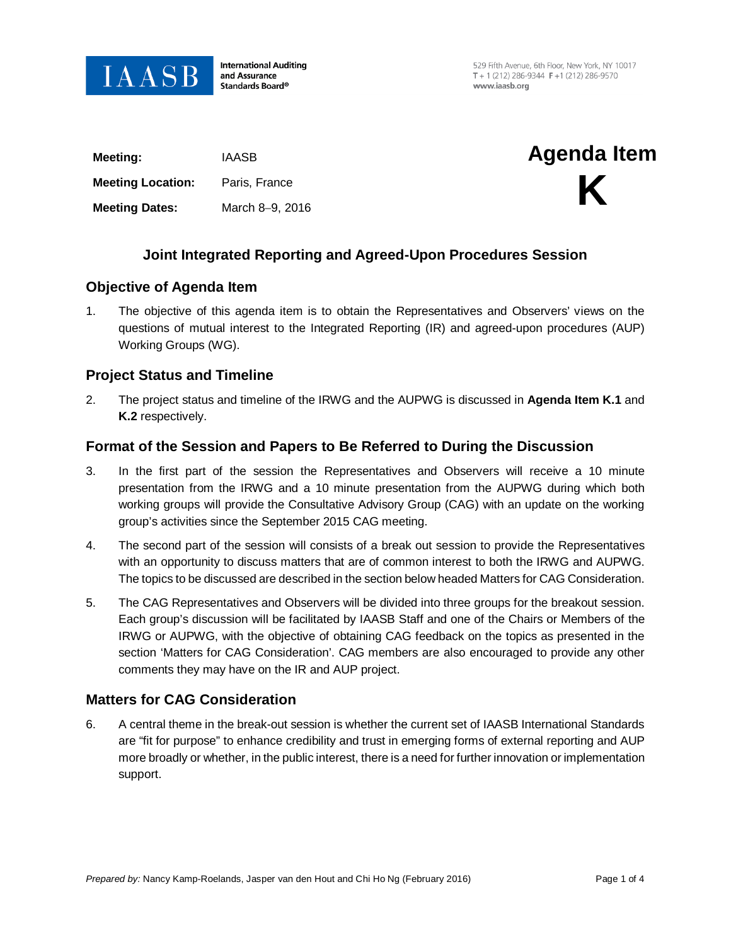

**International Auditing** and Assurance Standards Board®

529 Fifth Avenue, 6th Floor, New York, NY 10017 T + 1 (212) 286-9344  $F$  +1 (212) 286-9570 www.jaasb.org

| Meeting:                 | <b>IAASB</b>    | <b>Agenda Item</b> |
|--------------------------|-----------------|--------------------|
| <b>Meeting Location:</b> | Paris, France   | K                  |
| <b>Meeting Dates:</b>    | March 8-9, 2016 |                    |
|                          |                 |                    |

# **Joint Integrated Reporting and Agreed-Upon Procedures Session**

## **Objective of Agenda Item**

1. The objective of this agenda item is to obtain the Representatives and Observers' views on the questions of mutual interest to the Integrated Reporting (IR) and agreed-upon procedures (AUP) Working Groups (WG).

## **Project Status and Timeline**

2. The project status and timeline of the IRWG and the AUPWG is discussed in **Agenda Item K.1** and **K.2** respectively.

# **Format of the Session and Papers to Be Referred to During the Discussion**

- 3. In the first part of the session the Representatives and Observers will receive a 10 minute presentation from the IRWG and a 10 minute presentation from the AUPWG during which both working groups will provide the Consultative Advisory Group (CAG) with an update on the working group's activities since the September 2015 CAG meeting.
- 4. The second part of the session will consists of a break out session to provide the Representatives with an opportunity to discuss matters that are of common interest to both the IRWG and AUPWG. The topics to be discussed are described in the section below headed Matters for CAG Consideration.
- 5. The CAG Representatives and Observers will be divided into three groups for the breakout session. Each group's discussion will be facilitated by IAASB Staff and one of the Chairs or Members of the IRWG or AUPWG, with the objective of obtaining CAG feedback on the topics as presented in the section 'Matters for CAG Consideration'. CAG members are also encouraged to provide any other comments they may have on the IR and AUP project.

# **Matters for CAG Consideration**

6. A central theme in the break-out session is whether the current set of IAASB International Standards are "fit for purpose" to enhance credibility and trust in emerging forms of external reporting and AUP more broadly or whether, in the public interest, there is a need for further innovation or implementation support.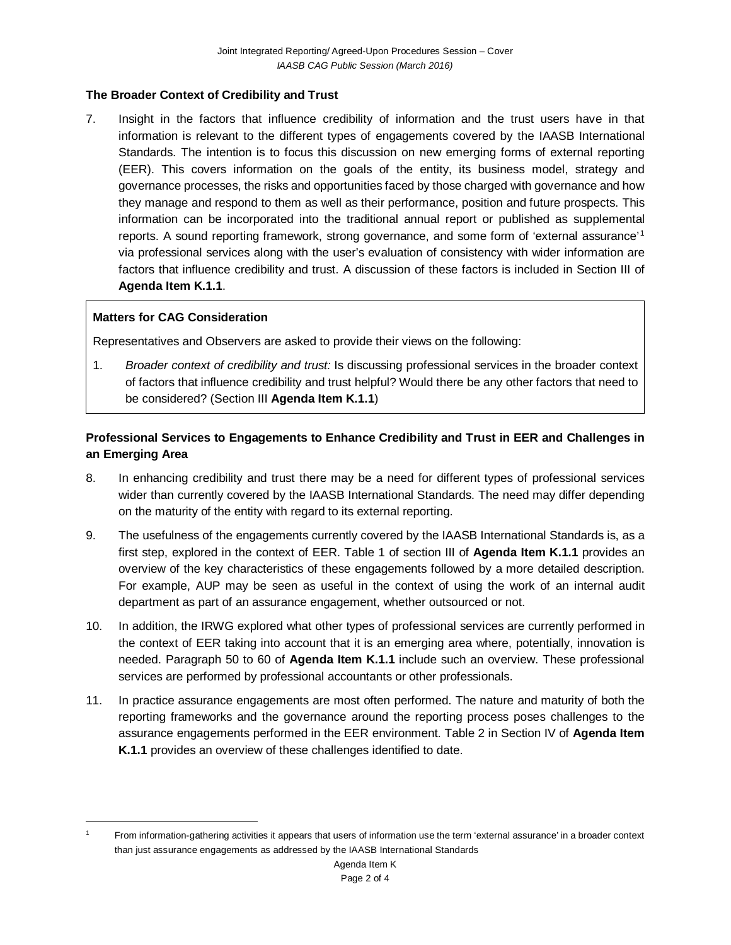## **The Broader Context of Credibility and Trust**

7. Insight in the factors that influence credibility of information and the trust users have in that information is relevant to the different types of engagements covered by the IAASB International Standards. The intention is to focus this discussion on new emerging forms of external reporting (EER). This covers information on the goals of the entity, its business model, strategy and governance processes, the risks and opportunities faced by those charged with governance and how they manage and respond to them as well as their performance, position and future prospects. This information can be incorporated into the traditional annual report or published as supplemental reports. A sound reporting framework, strong governance, and some form of 'external assurance'[1](#page-1-0) via professional services along with the user's evaluation of consistency with wider information are factors that influence credibility and trust. A discussion of these factors is included in Section III of **Agenda Item K.1.1**.

#### **Matters for CAG Consideration**

 $\overline{a}$ 

Representatives and Observers are asked to provide their views on the following:

1. *Broader context of credibility and trust:* Is discussing professional services in the broader context of factors that influence credibility and trust helpful? Would there be any other factors that need to be considered? (Section III **Agenda Item K.1.1**)

# **Professional Services to Engagements to Enhance Credibility and Trust in EER and Challenges in an Emerging Area**

- 8. In enhancing credibility and trust there may be a need for different types of professional services wider than currently covered by the IAASB International Standards. The need may differ depending on the maturity of the entity with regard to its external reporting.
- 9. The usefulness of the engagements currently covered by the IAASB International Standards is, as a first step, explored in the context of EER. Table 1 of section III of **Agenda Item K.1.1** provides an overview of the key characteristics of these engagements followed by a more detailed description. For example, AUP may be seen as useful in the context of using the work of an internal audit department as part of an assurance engagement, whether outsourced or not.
- 10. In addition, the IRWG explored what other types of professional services are currently performed in the context of EER taking into account that it is an emerging area where, potentially, innovation is needed. Paragraph 50 to 60 of **Agenda Item K.1.1** include such an overview. These professional services are performed by professional accountants or other professionals.
- 11. In practice assurance engagements are most often performed. The nature and maturity of both the reporting frameworks and the governance around the reporting process poses challenges to the assurance engagements performed in the EER environment. Table 2 in Section IV of **Agenda Item K.1.1** provides an overview of these challenges identified to date.

<span id="page-1-0"></span><sup>1</sup> From information-gathering activities it appears that users of information use the term 'external assurance' in a broader context than just assurance engagements as addressed by the IAASB International Standards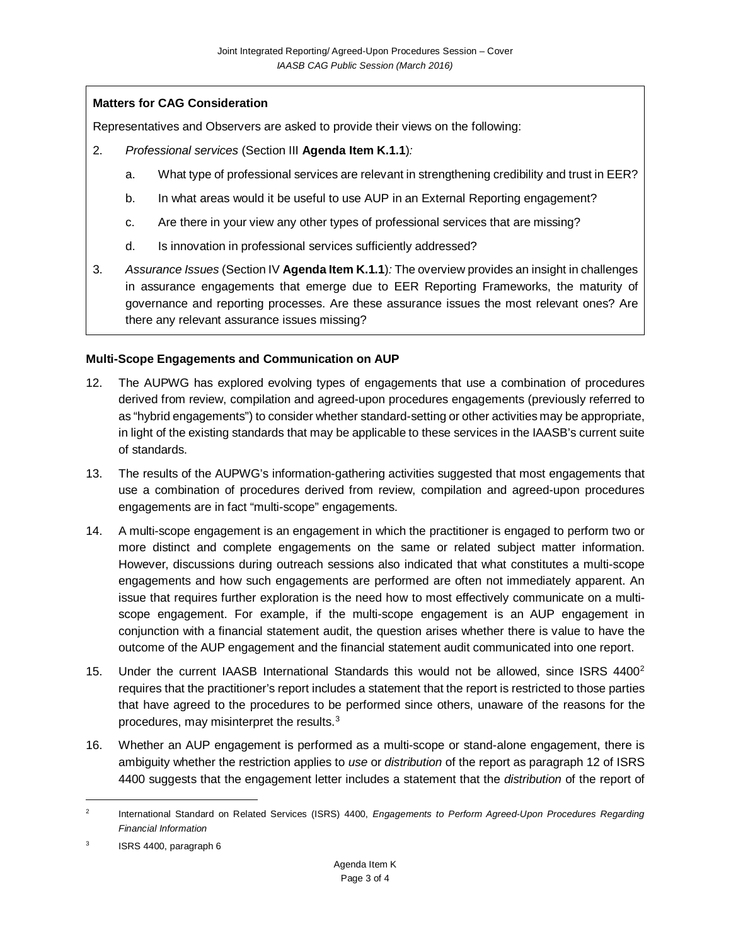## **Matters for CAG Consideration**

Representatives and Observers are asked to provide their views on the following:

- 2. *Professional services* (Section III **Agenda Item K.1.1**)*:*
	- a. What type of professional services are relevant in strengthening credibility and trust in EER?
	- b. In what areas would it be useful to use AUP in an External Reporting engagement?
	- c. Are there in your view any other types of professional services that are missing?
	- d. Is innovation in professional services sufficiently addressed?
- 3. *Assurance Issues* (Section IV **Agenda Item K.1.1**)*:* The overview provides an insight in challenges in assurance engagements that emerge due to EER Reporting Frameworks, the maturity of governance and reporting processes. Are these assurance issues the most relevant ones? Are there any relevant assurance issues missing?

#### **Multi-Scope Engagements and Communication on AUP**

- 12. The AUPWG has explored evolving types of engagements that use a combination of procedures derived from review, compilation and agreed-upon procedures engagements (previously referred to as "hybrid engagements") to consider whether standard-setting or other activities may be appropriate, in light of the existing standards that may be applicable to these services in the IAASB's current suite of standards.
- 13. The results of the AUPWG's information-gathering activities suggested that most engagements that use a combination of procedures derived from review, compilation and agreed-upon procedures engagements are in fact "multi-scope" engagements.
- 14. A multi-scope engagement is an engagement in which the practitioner is engaged to perform two or more distinct and complete engagements on the same or related subject matter information. However, discussions during outreach sessions also indicated that what constitutes a multi-scope engagements and how such engagements are performed are often not immediately apparent. An issue that requires further exploration is the need how to most effectively communicate on a multiscope engagement. For example, if the multi-scope engagement is an AUP engagement in conjunction with a financial statement audit, the question arises whether there is value to have the outcome of the AUP engagement and the financial statement audit communicated into one report.
- 15. Under the current IAASB International Standards this would not be allowed, since ISRS 4400<sup>2</sup> requires that the practitioner's report includes a statement that the report is restricted to those parties that have agreed to the procedures to be performed since others, unaware of the reasons for the procedures, may misinterpret the results.[3](#page-2-1)
- 16. Whether an AUP engagement is performed as a multi-scope or stand-alone engagement, there is ambiguity whether the restriction applies to *use* or *distribution* of the report as paragraph 12 of ISRS 4400 suggests that the engagement letter includes a statement that the *distribution* of the report of

 $\overline{a}$ 

<span id="page-2-0"></span><sup>2</sup> International Standard on Related Services (ISRS) 4400, *Engagements to Perform Agreed-Upon Procedures Regarding Financial Information*

<span id="page-2-1"></span><sup>&</sup>lt;sup>3</sup> ISRS 4400, paragraph 6